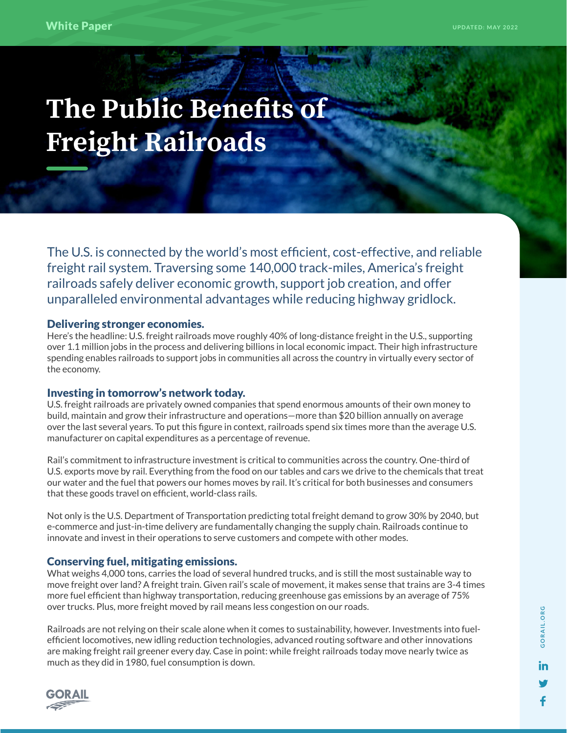# **The Public Benefits of Freight Railroads**

The U.S. is connected by the world's most efficient, cost-effective, and reliable freight rail system. Traversing some 140,000 track-miles, America's freight railroads safely deliver economic growth, support job creation, and offer unparalleled environmental advantages while reducing highway gridlock.

### Delivering stronger economies.

Here's the headline: U.S. freight railroads move roughly 40% of long-distance freight in the U.S., supporting over 1.1 million jobs in the process and delivering billions in local economic impact. Their high infrastructure spending enables railroads to support jobs in communities all across the country in virtually every sector of the economy.

## Investing in tomorrow's network today.

U.S. freight railroads are privately owned companies that spend enormous amounts of their own money to build, maintain and grow their infrastructure and operations—more than \$20 billion annually on average over the last several years. To put this figure in context, railroads spend six times more than the average U.S. manufacturer on capital expenditures as a percentage of revenue.

Rail's commitment to infrastructure investment is critical to communities across the country. One-third of U.S. exports move by rail. Everything from the food on our tables and cars we drive to the chemicals that treat our water and the fuel that powers our homes moves by rail. It's critical for both businesses and consumers that these goods travel on efficient, world-class rails.

Not only is the U.S. Department of Transportation predicting total freight demand to grow 30% by 2040, but e-commerce and just-in-time delivery are fundamentally changing the supply chain. Railroads continue to innovate and invest in their operations to serve customers and compete with other modes.

#### Conserving fuel, mitigating emissions.

What weighs 4,000 tons, carries the load of several hundred trucks, and is still the most sustainable way to move freight over land? A freight train. Given rail's scale of movement, it makes sense that trains are 3-4 times more fuel efficient than highway transportation, reducing greenhouse gas emissions by an average of 75% over trucks. Plus, more freight moved by rail means less congestion on our roads.

Railroads are not relying on their scale alone when it comes to sustainability, however. Investments into fuelefficient locomotives, new idling reduction technologies, advanced routing software and other innovations are making freight rail greener every day. Case in point: while freight railroads today move nearly twice as much as they did in 1980, fuel consumption is down.